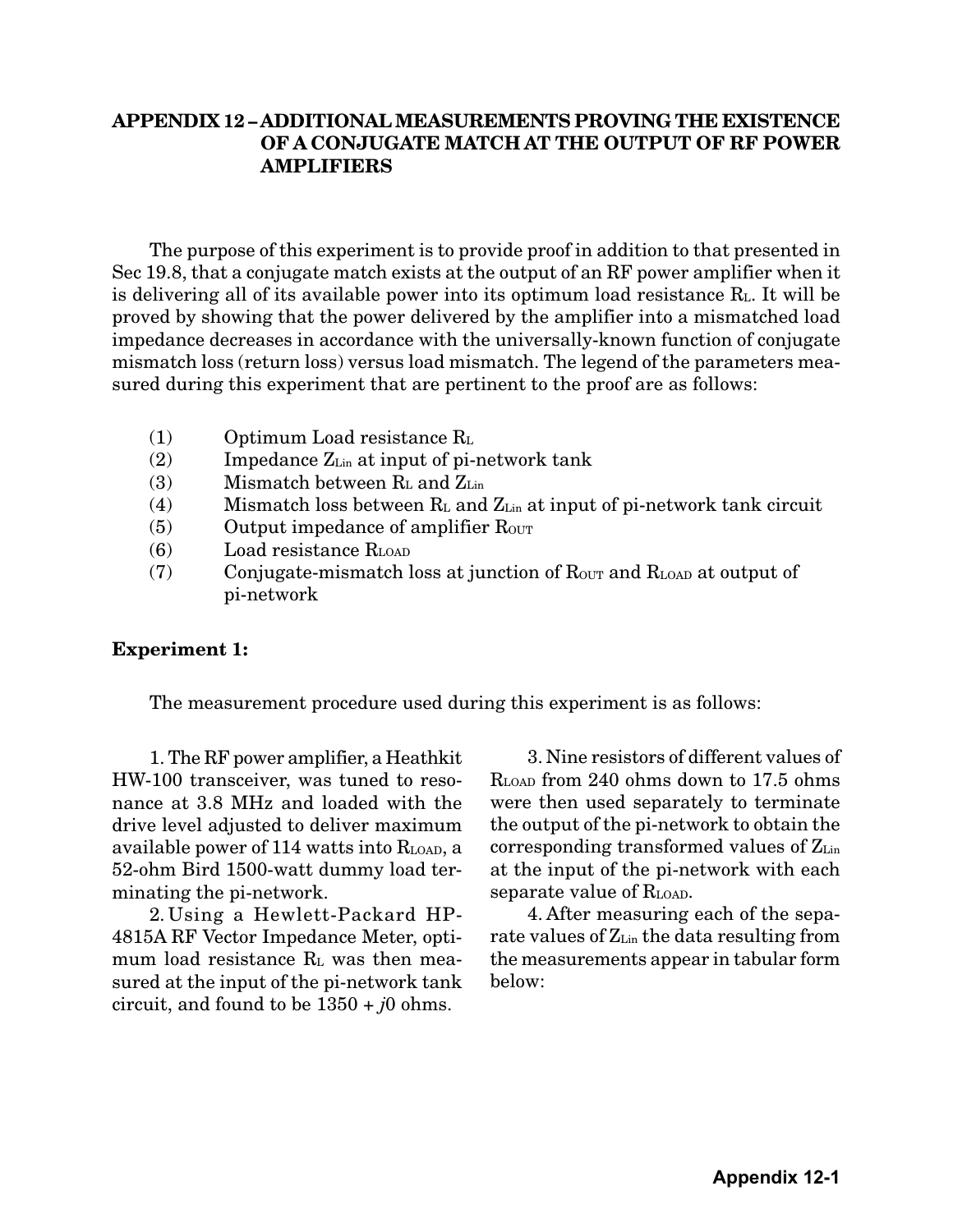# **APPENDIX 12 – ADDITIONAL MEASUREMENTS PROVING THE EXISTENCE OF A CONJUGATE MATCH AT THE OUTPUT OF RF POWER AMPLIFIERS**

The purpose of this experiment is to provide proof in addition to that presented in Sec 19.8, that a conjugate match exists at the output of an RF power amplifier when it is delivering all of its available power into its optimum load resistance RL. It will be proved by showing that the power delivered by the amplifier into a mismatched load impedance decreases in accordance with the universally-known function of conjugate mismatch loss (return loss) versus load mismatch. The legend of the parameters measured during this experiment that are pertinent to the proof are as follows:

- (1) Optimum Load resistance RL
- (2) Impedance  $Z_{Lin}$  at input of pi-network tank
- (3) Mismatch between  $R_L$  and  $Z_{Lin}$
- (4) Mismatch loss between  $R_L$  and  $Z_{Lin}$  at input of pi-network tank circuit
- $(5)$  Output impedance of amplifier R<sub>OUT</sub>
- $(6)$  Load resistance  $R_{\text{LOAD}}$
- $(7)$  Conjugate-mismatch loss at junction of  $\rm R_{OUT}$  and  $\rm R_{LOAD}$  at output of pi-network

## **Experiment 1:**

The measurement procedure used during this experiment is as follows:

1. The RF power amplifier, a Heathkit HW-100 transceiver, was tuned to resonance at 3.8 MHz and loaded with the drive level adjusted to deliver maximum available power of 114 watts into R<sub>LOAD</sub>, a 52-ohm Bird 1500-watt dummy load terminating the pi-network.

2. Using a Hewlett-Packard HP-4815A RF Vector Impedance Meter, optimum load resistance  $R<sub>L</sub>$  was then measured at the input of the pi-network tank circuit, and found to be  $1350 + j0$  ohms.

3. Nine resistors of different values of RLOAD from 240 ohms down to 17.5 ohms were then used separately to terminate the output of the pi-network to obtain the corresponding transformed values of ZLin at the input of the pi-network with each separate value of R<sub>LOAD</sub>.

4. After measuring each of the separate values of  $Z_{Lin}$  the data resulting from the measurements appear in tabular form below: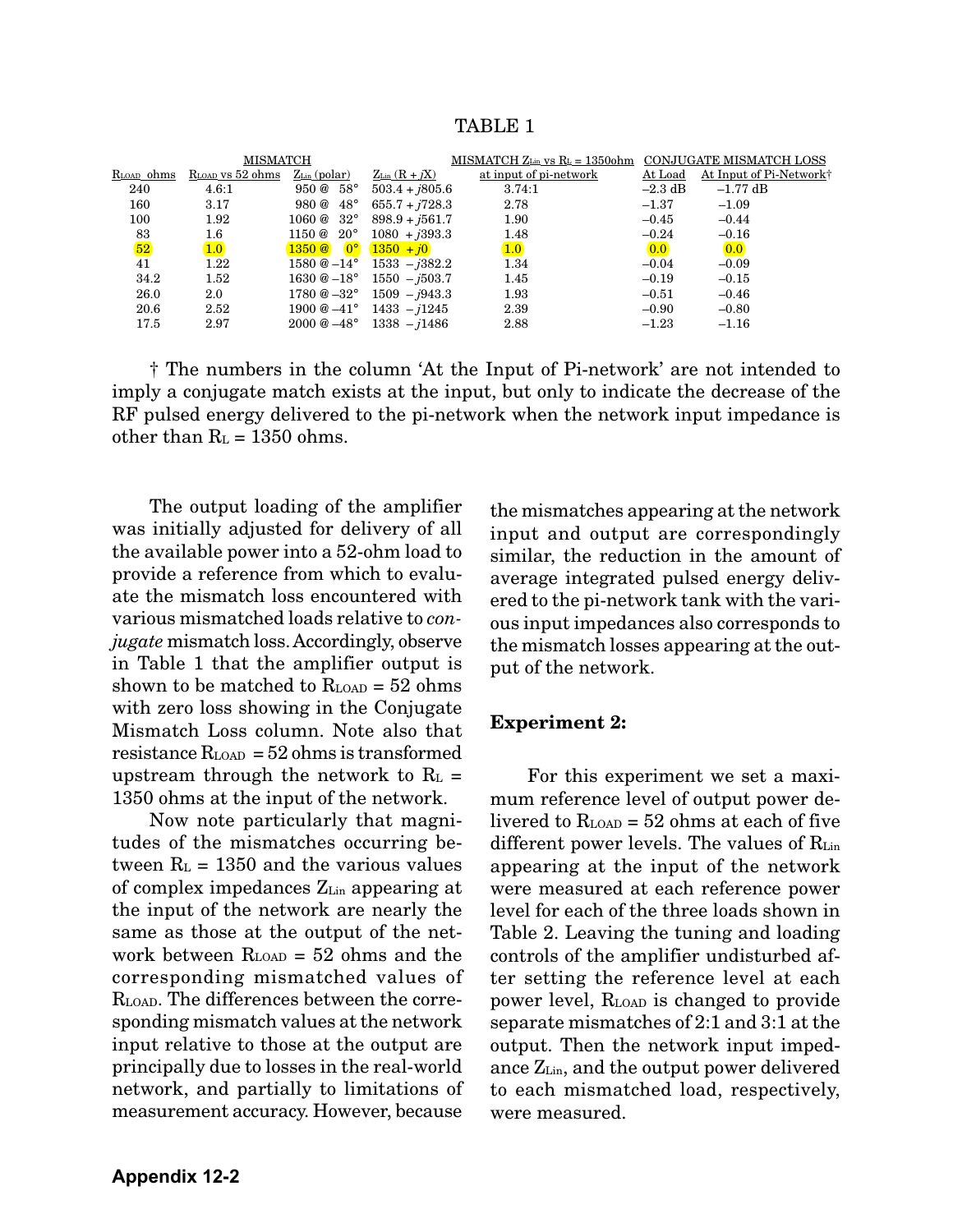| <b>TABLE</b> |  |
|--------------|--|
|--------------|--|

| MISMATCH          |                  |                               |                          | $MISMATCH ZLin$ vs $RL = 1350ohm$ | CONJUGATE MISMATCH LOSS |                         |
|-------------------|------------------|-------------------------------|--------------------------|-----------------------------------|-------------------------|-------------------------|
| RLOAD ohms        | RLOAD vs 52 ohms | $Z_{\text{Lin}}$ (polar)      | $Z_{\text{Lin}}(R + iX)$ | at input of pi-network            | At Load                 | At Input of Pi-Network† |
| 240               | 4.6:1            | $950 @ 58^{\circ}$            | $503.4 + j805.6$         | 3.74:1                            | $-2.3$ dB               | $-1.77$ dB              |
| 160               | 3.17             | $980 @ 48^\circ$              | $655.7 + j728.3$         | 2.78                              | $-1.37$                 | $-1.09$                 |
| 100               | 1.92             | $1060 @ 32^\circ$             | $898.9 + j561.7$         | 1.90                              | $-0.45$                 | $-0.44$                 |
| 83                | $1.6\,$          | 1150 $@$ 20 $^{\circ}$        | $1080 + i393.3$          | 1.48                              | $-0.24$                 | $-0.16$                 |
| $\left[52\right]$ | 1.0)             | $\left( 0 \right)$<br>1350 @  | $(1350 + i0)$            | 1.0)                              | (0.0)                   | (0.0)                   |
| 41                | 1.22             | $1580 \ @ -14^{\circ}$        | $1533 - j382.2$          | 1.34                              | $-0.04$                 | $-0.09$                 |
| 34.2              | 1.52             | $1630 \& -18^{\circ}$         | $1550 - j503.7$          | 1.45                              | $-0.19$                 | $-0.15$                 |
| 26.0              | 2.0              | $1780 \text{ @ } -32^{\circ}$ | $1509 - i943.3$          | 1.93                              | $-0.51$                 | $-0.46$                 |
| 20.6              | 2.52             | $1900 \& -41^{\circ}$         | $1433 - i1245$           | 2.39                              | $-0.90$                 | $-0.80$                 |
| 17.5              | 2.97             | $2000 \& -48^{\circ}$         | $1338 - i1486$           | 2.88                              | $-1.23$                 | $-1.16$                 |
|                   |                  |                               |                          |                                   |                         |                         |

† The numbers in the column 'At the Input of Pi-network' are not intended to imply a conjugate match exists at the input, but only to indicate the decrease of the RF pulsed energy delivered to the pi-network when the network input impedance is other than  $R_L = 1350$  ohms.

The output loading of the amplifier was initially adjusted for delivery of all the available power into a 52-ohm load to provide a reference from which to evaluate the mismatch loss encountered with various mismatched loads relative to *conjugate* mismatch loss. Accordingly, observe in Table 1 that the amplifier output is shown to be matched to  $R_{\text{LOAD}} = 52$  ohms with zero loss showing in the Conjugate Mismatch Loss column. Note also that  $resistance$   $R_{LOAD} = 52$  ohms is transformed upstream through the network to  $R_L$  = 1350 ohms at the input of the network.

Now note particularly that magnitudes of the mismatches occurring between  $R<sub>L</sub> = 1350$  and the various values of complex impedances ZLin appearing at the input of the network are nearly the same as those at the output of the network between  $R_{\text{LOAD}} = 52$  ohms and the corresponding mismatched values of RLOAD. The differences between the corresponding mismatch values at the network input relative to those at the output are principally due to losses in the real-world network, and partially to limitations of measurement accuracy. However, because

the mismatches appearing at the network input and output are correspondingly similar, the reduction in the amount of average integrated pulsed energy delivered to the pi-network tank with the various input impedances also corresponds to the mismatch losses appearing at the output of the network.

#### **Experiment 2:**

For this experiment we set a maximum reference level of output power delivered to  $R_{\text{LOAD}} = 52$  ohms at each of five different power levels. The values of RLin appearing at the input of the network were measured at each reference power level for each of the three loads shown in Table 2. Leaving the tuning and loading controls of the amplifier undisturbed after setting the reference level at each power level, RLOAD is changed to provide separate mismatches of 2:1 and 3:1 at the output. Then the network input impedance ZLin, and the output power delivered to each mismatched load, respectively, were measured.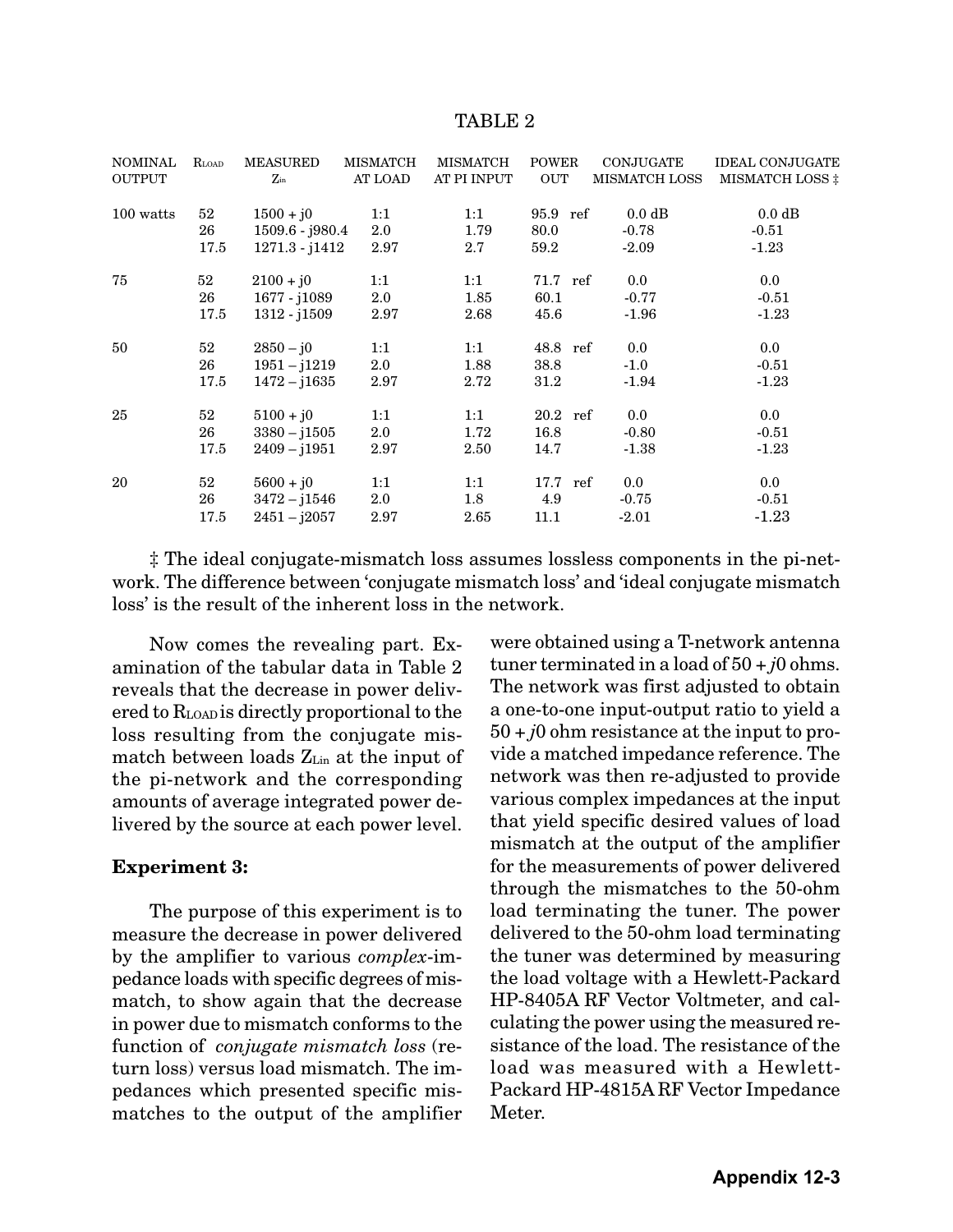| <b>NOMINAL</b><br><b>OUTPUT</b> | RLOAD | <b>MEASURED</b><br>$Z_{\rm in}$ | MISMATCH<br>AT LOAD | <b>MISMATCH</b><br>AT PI INPUT | <b>POWER</b><br>OUT | <b>CONJUGATE</b><br><b>MISMATCH LOSS</b> | <b>IDEAL CONJUGATE</b><br><b>MISMATCH LOSS:</b> |
|---------------------------------|-------|---------------------------------|---------------------|--------------------------------|---------------------|------------------------------------------|-------------------------------------------------|
| 100 watts                       | 52    | $1500 + j0$                     | 1:1                 | 1:1                            | 95.9 ref            | $0.0 \text{ dB}$                         | $0.0 \text{ dB}$                                |
|                                 | 26    | 1509.6 - j980.4                 | 2.0                 | 1.79                           | 80.0                | $-0.78$                                  | $-0.51$                                         |
|                                 | 17.5  | 1271.3 - j1412                  | 2.97                | 2.7                            | 59.2                | $-2.09$                                  | $-1.23$                                         |
| 75                              | 52    | $2100 + j0$                     | 1:1                 | 1:1                            | 71.7 ref            | $0.0\,$                                  | $0.0\,$                                         |
|                                 | 26    | $1677 - j1089$                  | 2.0                 | 1.85                           | 60.1                | $-0.77$                                  | $-0.51$                                         |
|                                 | 17.5  | $1312 - j1509$                  | 2.97                | 2.68                           | 45.6                | $-1.96$                                  | $-1.23$                                         |
| 50                              | 52    | $2850 - j0$                     | 1:1                 | 1:1                            | 48.8 ref            | $0.0\,$                                  | 0.0                                             |
|                                 | 26    | $1951 - j1219$                  | $2.0\,$             | 1.88                           | 38.8                | $-1.0$                                   | $-0.51$                                         |
|                                 | 17.5  | $1472 - j1635$                  | 2.97                | 2.72                           | 31.2                | $-1.94$                                  | $-1.23$                                         |
| 25                              | 52    | $5100 + j0$                     | 1:1                 | 1:1                            | $20.2$ ref          | $0.0\,$                                  | $0.0\,$                                         |
|                                 | 26    | $3380 - j1505$                  | $2.0\,$             | $1.72\,$                       | 16.8                | $-0.80$                                  | $-0.51$                                         |
|                                 | 17.5  | $2409 - i1951$                  | 2.97                | 2.50                           | 14.7                | $-1.38$                                  | $-1.23$                                         |
| 20                              | 52    | $5600 + j0$                     | 1:1                 | 1:1                            | 17.7 ref            | $0.0\,$                                  | $0.0\,$                                         |
|                                 | 26    | $3472 - j1546$                  | $2.0\,$             | $1.8\,$                        | 4.9                 | $-0.75$                                  | $-0.51$                                         |
|                                 | 17.5  | $2451 - j2057$                  | 2.97                | 2.65                           | 11.1                | $-2.01$                                  | $-1.23$                                         |

### TABLE 2

‡ The ideal conjugate-mismatch loss assumes lossless components in the pi-network. The difference between 'conjugate mismatch loss' and 'ideal conjugate mismatch loss' is the result of the inherent loss in the network.

Now comes the revealing part. Examination of the tabular data in Table 2 reveals that the decrease in power delivered to RLOAD is directly proportional to the loss resulting from the conjugate mismatch between loads ZLin at the input of the pi-network and the corresponding amounts of average integrated power delivered by the source at each power level.

### **Experiment 3:**

The purpose of this experiment is to measure the decrease in power delivered by the amplifier to various *complex*-impedance loads with specific degrees of mismatch, to show again that the decrease in power due to mismatch conforms to the function of *conjugate mismatch loss* (return loss) versus load mismatch. The impedances which presented specific mismatches to the output of the amplifier were obtained using a T-network antenna tuner terminated in a load of 50 + *j*0 ohms. The network was first adjusted to obtain a one-to-one input-output ratio to yield a 50 + *j*0 ohm resistance at the input to provide a matched impedance reference. The network was then re-adjusted to provide various complex impedances at the input that yield specific desired values of load mismatch at the output of the amplifier for the measurements of power delivered through the mismatches to the 50-ohm load terminating the tuner. The power delivered to the 50-ohm load terminating the tuner was determined by measuring the load voltage with a Hewlett-Packard HP-8405A RF Vector Voltmeter, and calculating the power using the measured resistance of the load. The resistance of the load was measured with a Hewlett-Packard HP-4815A RF Vector Impedance Meter.